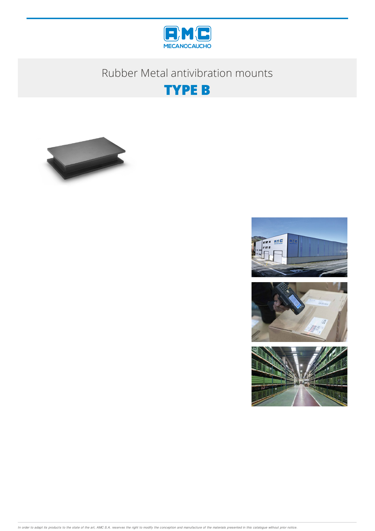

# Rubber Metal antivibration mounts







In order to adapt its products to the state of the art, AMC S.A. reserves the right to modify the conception and manufacture of the materials presented in this catalogue without prior notice.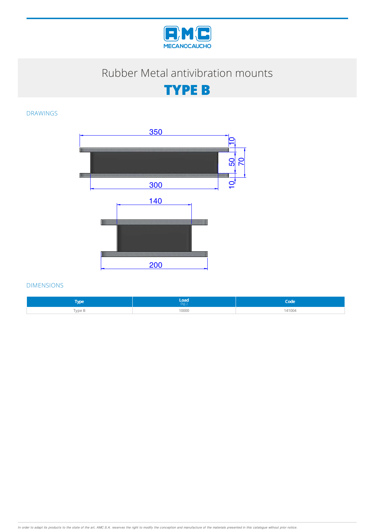

## Rubber Metal antivibration mounts

**TYPE B**

#### DRAWINGS



#### DIMENSIONS

| <b><i><u>American</u></i></b> | Load' | Sodo.  |
|-------------------------------|-------|--------|
| YPC                           | (kg.) | .uuc   |
| Type B                        | 10000 | 141004 |